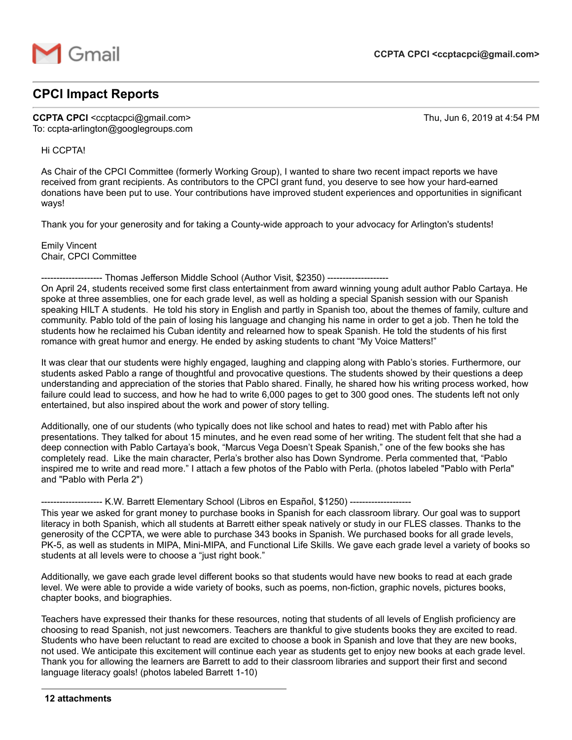

## **CPCI Impact Reports**

**CCPTA CPCI**  $\leq$ ccptacpci@gmail.com> Thu, Jun 6, 2019 at 4:54 PM To: ccpta-arlington@googlegroups.com

## Hi CCPTA!

As Chair of the CPCI Committee (formerly Working Group), I wanted to share two recent impact reports we have received from grant recipients. As contributors to the CPCI grant fund, you deserve to see how your hard-earned donations have been put to use. Your contributions have improved student experiences and opportunities in significant ways!

Thank you for your generosity and for taking a County-wide approach to your advocacy for Arlington's students!

Emily Vincent Chair, CPCI Committee

-------------------- Thomas Jefferson Middle School (Author Visit, \$2350) -------------------- On April 24, students received some first class entertainment from award winning young adult author Pablo Cartaya. He spoke at three assemblies, one for each grade level, as well as holding a special Spanish session with our Spanish speaking HILT A students. He told his story in English and partly in Spanish too, about the themes of family, culture and community. Pablo told of the pain of losing his language and changing his name in order to get a job. Then he told the students how he reclaimed his Cuban identity and relearned how to speak Spanish. He told the students of his first romance with great humor and energy. He ended by asking students to chant "My Voice Matters!"

It was clear that our students were highly engaged, laughing and clapping along with Pablo's stories. Furthermore, our students asked Pablo a range of thoughtful and provocative questions. The students showed by their questions a deep understanding and appreciation of the stories that Pablo shared. Finally, he shared how his writing process worked, how failure could lead to success, and how he had to write 6,000 pages to get to 300 good ones. The students left not only entertained, but also inspired about the work and power of story telling.

Additionally, one of our students (who typically does not like school and hates to read) met with Pablo after his presentations. They talked for about 15 minutes, and he even read some of her writing. The student felt that she had a deep connection with Pablo Cartaya's book, "Marcus Vega Doesn't Speak Spanish," one of the few books she has completely read. Like the main character, Perla's brother also has Down Syndrome. Perla commented that, "Pablo inspired me to write and read more." I attach a few photos of the Pablo with Perla. (photos labeled "Pablo with Perla" and "Pablo with Perla 2")

-------------------- K.W. Barrett Elementary School (Libros en Español, \$1250) --------------------

This year we asked for grant money to purchase books in Spanish for each classroom library. Our goal was to support literacy in both Spanish, which all students at Barrett either speak natively or study in our FLES classes. Thanks to the generosity of the CCPTA, we were able to purchase 343 books in Spanish. We purchased books for all grade levels, PK-5, as well as students in MIPA, Mini-MIPA, and Functional Life Skills. We gave each grade level a variety of books so students at all levels were to choose a "just right book."

Additionally, we gave each grade level different books so that students would have new books to read at each grade level. We were able to provide a wide variety of books, such as poems, non-fiction, graphic novels, pictures books, chapter books, and biographies.

Teachers have expressed their thanks for these resources, noting that students of all levels of English proficiency are choosing to read Spanish, not just newcomers. Teachers are thankful to give students books they are excited to read. Students who have been reluctant to read are excited to choose a book in Spanish and love that they are new books, not used. We anticipate this excitement will continue each year as students get to enjoy new books at each grade level. Thank you for allowing the learners are Barrett to add to their classroom libraries and support their first and second language literacy goals! (photos labeled Barrett 1-10)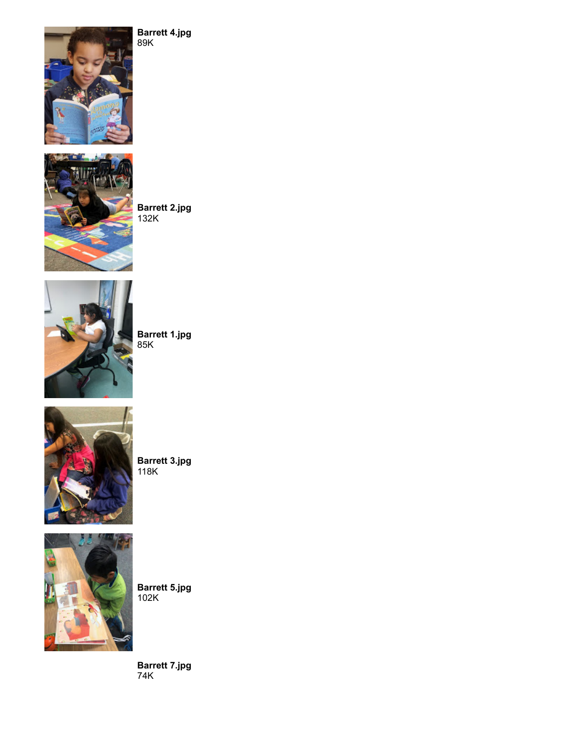

**Barrett 2.jpg** 132K

**Barrett 4.jpg**

89K



**Barrett 1.jpg** 85K



**Barrett 3.jpg** 118K



**Barrett 5.jpg** 102K

**Barrett 7.jpg** 74K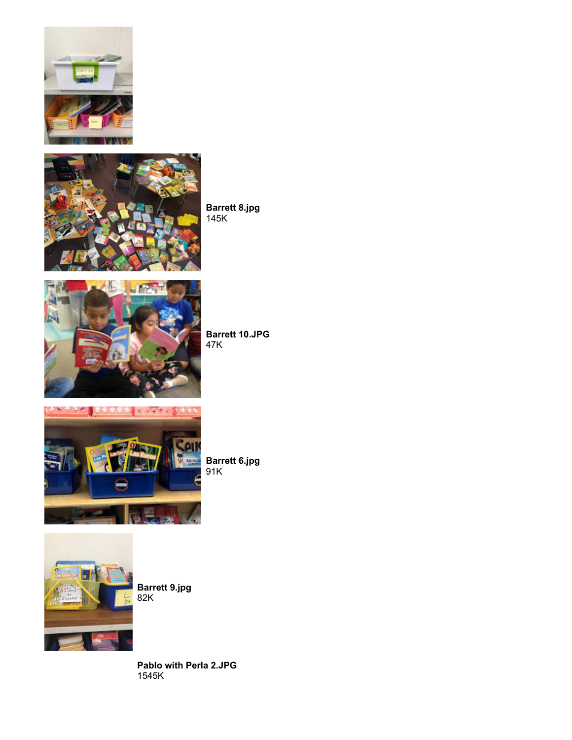



**Barrett 8.jpg** 145K



**Barrett 10.JPG** 47K



**Barrett 6.jpg** 91K



**Barrett 9.jpg** 82K

**Pablo with Perla 2.JPG** 1545K